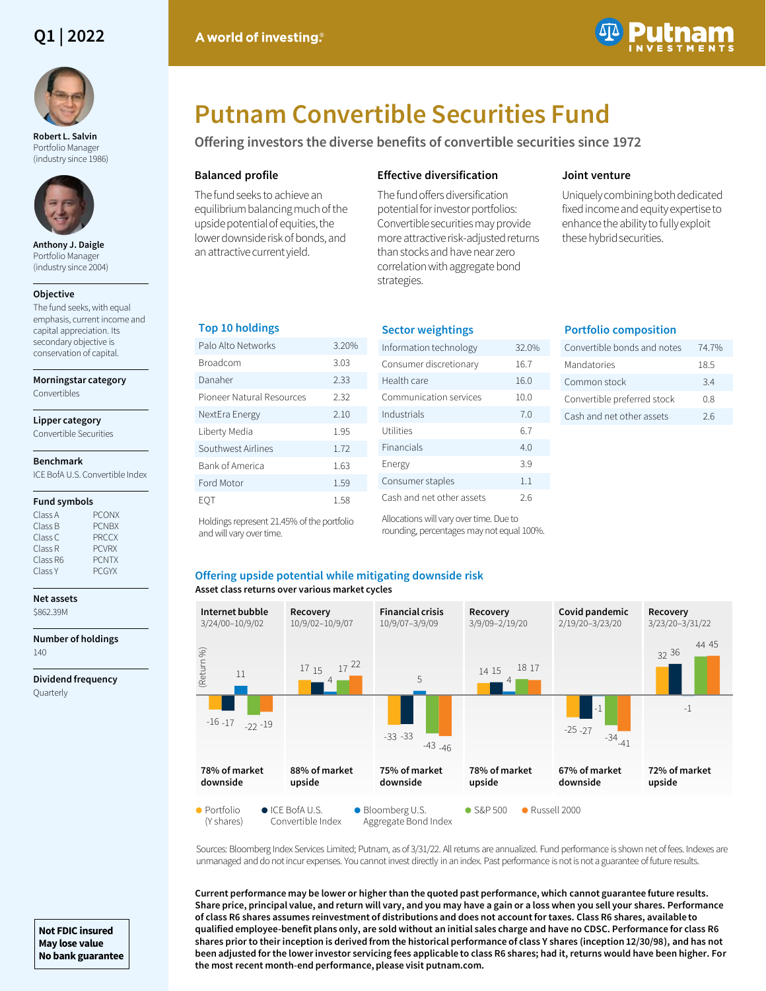# **Q1 | 2022**



**Robert L. Salvin**  Portfolio Manager (industry since 1986)



**Anthony J. Daigle**  Portfolio Manager (industry since 2004)

#### **Objective**

The fund seeks, with equal emphasis, current income and capital appreciation. Its secondary objective is conservation of capital.

#### **Morningstar category**

Convertibles

# **Lipper category**

Convertible Securities

#### **Benchmark**

ICE BofA U.S. Convertible Index

#### **Fund symbols**

| Class A  | <b>PCONX</b> |
|----------|--------------|
| Class B  | <b>PCNBX</b> |
| Class C  | <b>PRCCX</b> |
| Class R  | <b>PCVRX</b> |
| Class R6 | <b>PCNTX</b> |
| Class Y  | <b>PCGYX</b> |

#### **Net assets** \$862.39M

**Number of holdings** 140

**Dividend frequency** Quarterly



# **Putnam Convertible Securities Fund**

**Offering investors the diverse benefits of convertible securities since 1972**

## **Balanced profile**

The fund seeks to achieve an equilibrium balancing much of the upside potential of equities, the lower downside risk of bonds, and an attractive current yield.

# **Effective diversification**

The fund offers diversification potential for investor portfolios: Convertible securities may provide more attractive risk-adjusted returns than stocks and have near zero correlation with aggregate bond strategies.

# **Joint venture**

Uniquely combining both dedicated fixed income and equity expertise to enhance the ability to fully exploit these hybrid securities.

# **Top 10 holdings**

| 3.20% |
|-------|
| 3.03  |
| 2.33  |
| 2.32  |
| 2.10  |
| 1.95  |
| 1.72  |
| 1.63  |
| 1.59  |
| 1.58  |
|       |

| <b>Sector weightings</b>  |       |
|---------------------------|-------|
| Information technology    | 32.0% |
| Consumer discretionary    | 16.7  |
| Health care               | 16.0  |
| Communication services    | 10.0  |
| Industrials               | 70    |
| Utilities                 | 67    |
| Financials                | 4.0   |
| Energy                    | 3.9   |
| Consumer staples          | 1.1   |
| Cash and net other assets | 26    |

rounding, percentages may not equal 100%.

# **Portfolio composition** Convertible bonds and notes 74.7%

| Mandatories                 | 18.5 |
|-----------------------------|------|
| Common stock                | 34   |
| Convertible preferred stock | 08   |
| Cash and net other assets   | 26   |

Holdings represent 21.45% of the portfolio and will vary over time.

Allocations will vary over time. Due to

#### **Asset class returns over various market cycles Offering upside potential while mitigating downside risk**



Sources: Bloomberg Index Services Limited; Putnam, as of 3/31/22. All returns are annualized. Fund performance is shown net of fees. Indexes are unmanaged and do not incur expenses. You cannot invest directly in an index. Past performance is not is not a guarantee of future results.

**Current performance may be lower or higher than the quoted past performance, which cannot guarantee future results. Share price, principal value, and return will vary, and you may have a gain or a loss when you sell your shares. Performance of class R6 shares assumes reinvestment of distributions and does not account for taxes. Class R6 shares, available to qualified employee-benefit plans only, are sold without an initial sales charge and have no CDSC. Performance for class R6 shares prior to their inception is derived from the historical performance of class Y shares (inception 12/30/98), and has not been adjusted for the lower investor servicing fees applicable to class R6 shares; had it, returns would have been higher. For the most recent month-end performance, please visit putnam.com.** 

**Not FDIC insured May lose value No bank guarantee**